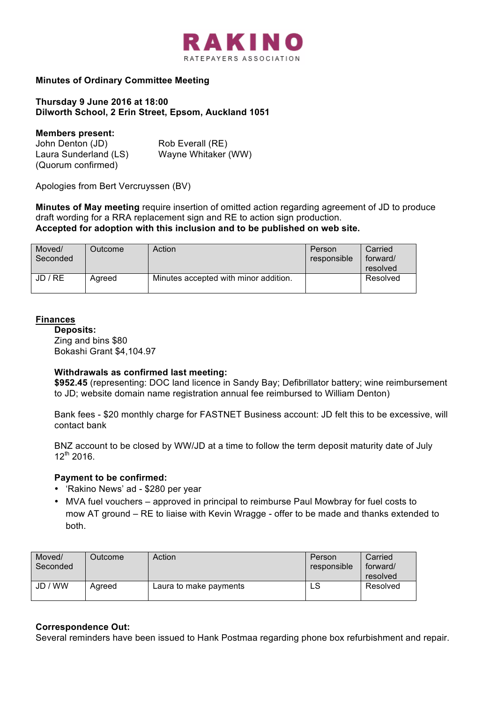

## **Minutes of Ordinary Committee Meeting**

### **Thursday 9 June 2016 at 18:00 Dilworth School, 2 Erin Street, Epsom, Auckland 1051**

#### **Members present:**

| John Denton (JD)      | Rob Everall (RE)    |
|-----------------------|---------------------|
| Laura Sunderland (LS) | Wayne Whitaker (WW) |
| (Quorum confirmed)    |                     |

Apologies from Bert Vercruyssen (BV)

**Minutes of May meeting** require insertion of omitted action regarding agreement of JD to produce draft wording for a RRA replacement sign and RE to action sign production. **Accepted for adoption with this inclusion and to be published on web site.**

| Moved/<br>Seconded | Outcome | Action                                | Person<br>responsible | Carried<br>forward/<br>resolved |
|--------------------|---------|---------------------------------------|-----------------------|---------------------------------|
| JD / RE            | Agreed  | Minutes accepted with minor addition. |                       | Resolved                        |

### **Finances**

**Deposits:** Zing and bins \$80 Bokashi Grant \$4,104.97

### **Withdrawals as confirmed last meeting:**

**\$952.45** (representing: DOC land licence in Sandy Bay; Defibrillator battery; wine reimbursement to JD; website domain name registration annual fee reimbursed to William Denton)

Bank fees - \$20 monthly charge for FASTNET Business account: JD felt this to be excessive, will contact bank

BNZ account to be closed by WW/JD at a time to follow the term deposit maturity date of July  $12^{th}$  2016.

### **Payment to be confirmed:**

- 'Rakino News' ad \$280 per year
- MVA fuel vouchers approved in principal to reimburse Paul Mowbray for fuel costs to mow AT ground – RE to liaise with Kevin Wragge - offer to be made and thanks extended to both.

| Moved/<br>Seconded | Outcome | Action                 | Person<br>responsible | Carried<br>forward/<br>resolved |
|--------------------|---------|------------------------|-----------------------|---------------------------------|
| JD / WW            | Agreed  | Laura to make payments | LS                    | Resolved                        |

### **Correspondence Out:**

Several reminders have been issued to Hank Postmaa regarding phone box refurbishment and repair.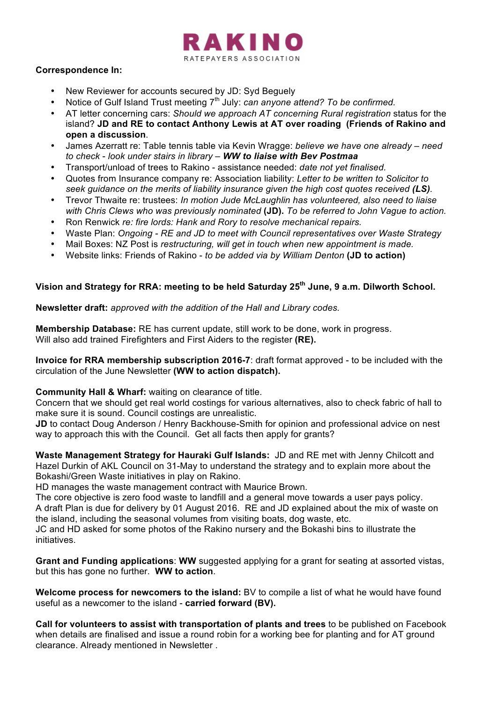

### **Correspondence In:**

- New Reviewer for accounts secured by JD: Syd Beguely
- Notice of Gulf Island Trust meeting 7<sup>th</sup> July: *can anyone attend? To be confirmed.*
- AT letter concerning cars: *Should we approach AT concerning Rural registration* status for the island? **JD and RE to contact Anthony Lewis at AT over roading (Friends of Rakino and open a discussion**.
- James Azerratt re: Table tennis table via Kevin Wragge: *believe we have one already – need to check* - *look under stairs in library – WW to liaise with Bev Postmaa*
- Transport/unload of trees to Rakino assistance needed: *date not yet finalised.*
- Quotes from Insurance company re: Association liability: *Letter to be written to Solicitor to seek guidance on the merits of liability insurance given the high cost quotes received (LS).*
- Trevor Thwaite re: trustees: *In motion Jude McLaughlin has volunteered, also need to liaise with Chris Clews who was previously nominated* **(JD).** *To be referred to John Vague to action.*
- Ron Renwick *re: fire lords: Hank and Rory to resolve mechanical repairs.*
- Waste Plan: *Ongoing - RE and JD to meet with Council representatives over Waste Strategy*
- Mail Boxes: NZ Post is *restructuring, will get in touch when new appointment is made.*
- Website links: Friends of Rakino *to be added via by William Denton* **(JD to action)**

# **Vision and Strategy for RRA: meeting to be held Saturday 25th June, 9 a.m. Dilworth School.**

**Newsletter draft:** *approved with the addition of the Hall and Library codes.*

**Membership Database:** RE has current update, still work to be done, work in progress. Will also add trained Firefighters and First Aiders to the register **(RE).**

**Invoice for RRA membership subscription 2016-7**: draft format approved - to be included with the circulation of the June Newsletter **(WW to action dispatch).**

# **Community Hall & Wharf:** waiting on clearance of title.

Concern that we should get real world costings for various alternatives, also to check fabric of hall to make sure it is sound. Council costings are unrealistic.

JD to contact Doug Anderson / Henry Backhouse-Smith for opinion and professional advice on nest way to approach this with the Council. Get all facts then apply for grants?

**Waste Management Strategy for Hauraki Gulf Islands:** JD and RE met with Jenny Chilcott and Hazel Durkin of AKL Council on 31-May to understand the strategy and to explain more about the Bokashi/Green Waste initiatives in play on Rakino.

HD manages the waste management contract with Maurice Brown.

The core objective is zero food waste to landfill and a general move towards a user pays policy. A draft Plan is due for delivery by 01 August 2016. RE and JD explained about the mix of waste on the island, including the seasonal volumes from visiting boats, dog waste, etc.

JC and HD asked for some photos of the Rakino nursery and the Bokashi bins to illustrate the initiatives.

**Grant and Funding applications**: **WW** suggested applying for a grant for seating at assorted vistas, but this has gone no further. **WW to action**.

**Welcome process for newcomers to the island:** BV to compile a list of what he would have found useful as a newcomer to the island - **carried forward (BV).**

**Call for volunteers to assist with transportation of plants and trees** to be published on Facebook when details are finalised and issue a round robin for a working bee for planting and for AT ground clearance. Already mentioned in Newsletter .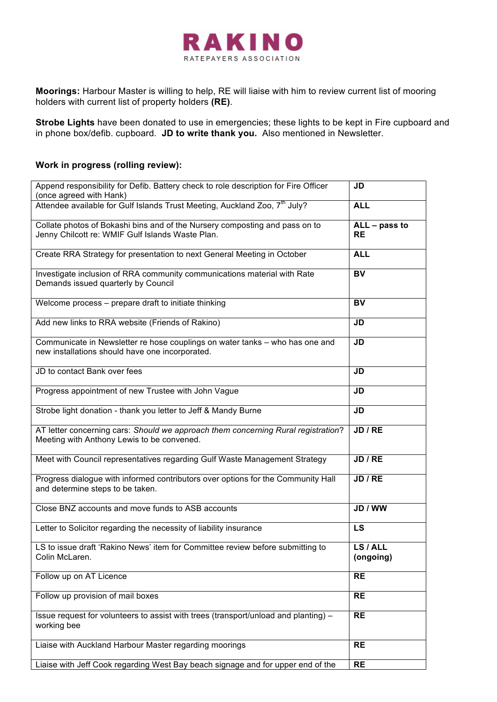

**Moorings:** Harbour Master is willing to help, RE will liaise with him to review current list of mooring holders with current list of property holders **(RE)**.

**Strobe Lights** have been donated to use in emergencies; these lights to be kept in Fire cupboard and in phone box/defib. cupboard. **JD to write thank you.** Also mentioned in Newsletter.

## **Work in progress (rolling review):**

| Append responsibility for Defib. Battery check to role description for Fire Officer<br>(once agreed with Hank)                  | JD                         |
|---------------------------------------------------------------------------------------------------------------------------------|----------------------------|
| Attendee available for Gulf Islands Trust Meeting, Auckland Zoo, 7 <sup>th</sup> July?                                          | <b>ALL</b>                 |
| Collate photos of Bokashi bins and of the Nursery composting and pass on to<br>Jenny Chilcott re: WMIF Gulf Islands Waste Plan. | ALL - pass to<br><b>RE</b> |
| Create RRA Strategy for presentation to next General Meeting in October                                                         | <b>ALL</b>                 |
| Investigate inclusion of RRA community communications material with Rate<br>Demands issued quarterly by Council                 | $\overline{BV}$            |
| Welcome process - prepare draft to initiate thinking                                                                            | BV                         |
| Add new links to RRA website (Friends of Rakino)                                                                                | <b>JD</b>                  |
| Communicate in Newsletter re hose couplings on water tanks - who has one and<br>new installations should have one incorporated. | JD                         |
| JD to contact Bank over fees                                                                                                    | <b>JD</b>                  |
| Progress appointment of new Trustee with John Vague                                                                             | <b>JD</b>                  |
| Strobe light donation - thank you letter to Jeff & Mandy Burne                                                                  | <b>JD</b>                  |
| AT letter concerning cars: Should we approach them concerning Rural registration?<br>Meeting with Anthony Lewis to be convened. | JD / RE                    |
| Meet with Council representatives regarding Gulf Waste Management Strategy                                                      | JD / RE                    |
| Progress dialogue with informed contributors over options for the Community Hall<br>and determine steps to be taken.            | JD / RE                    |
| Close BNZ accounts and move funds to ASB accounts                                                                               | JD / WW                    |
| Letter to Solicitor regarding the necessity of liability insurance                                                              | LS                         |
| LS to issue draft 'Rakino News' item for Committee review before submitting to<br>Colin McLaren.                                | LS / ALL<br>(ongoing)      |
| Follow up on AT Licence                                                                                                         | <b>RE</b>                  |
| Follow up provision of mail boxes                                                                                               | <b>RE</b>                  |
| Issue request for volunteers to assist with trees (transport/unload and planting) -<br>working bee                              | <b>RE</b>                  |
| Liaise with Auckland Harbour Master regarding moorings                                                                          | <b>RE</b>                  |
| Liaise with Jeff Cook regarding West Bay beach signage and for upper end of the                                                 | <b>RE</b>                  |